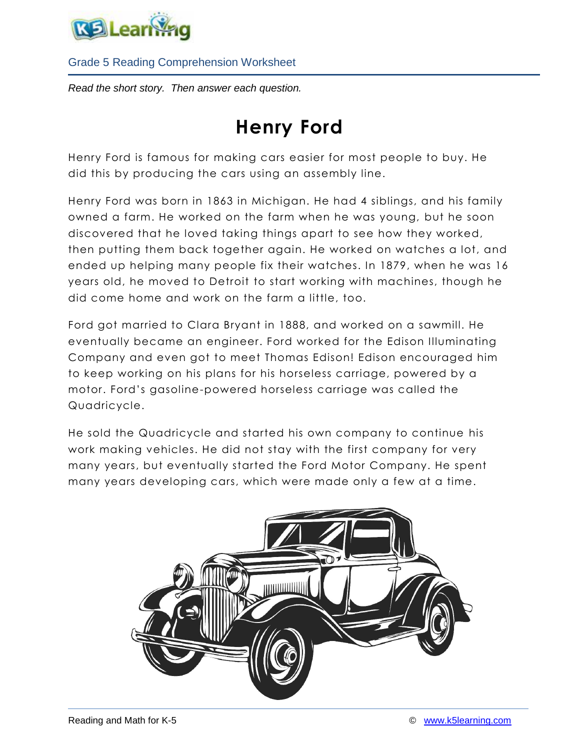

*Read the short story. Then answer each question.*

# **Henry Ford**

Henry Ford is famous for making cars easier for most people to buy. He did this by producing the cars using an assembly line.

Henry Ford was born in 1863 in Michigan. He had 4 siblings, and his family owned a farm. He worked on the farm when he was young, but he soon discovered that he loved taking things apart to see how they worked, then putting them back together again. He worked on watches a lot, and ended up helping many people fix their watches. In 1879, when he was 16 years old, he moved to Detroit to start working with machines, though he did come home and work on the farm a little, too.

Ford got married to Clara Bryant in 1888, and worked on a sawmill. He eventually became an engineer. Ford worked for the Edison Illuminating Company and even got to meet Thomas Edison! Edison encouraged him to keep working on his plans for his horseless carriage, powered by a motor. Ford's gasoline-powered horseless carriage was called the Quadricycle.

He sold the Quadricycle and started his own company to continue his work making vehicles. He did not stay with the first company for very many years, but eventually started the Ford Motor Company. He spent many years developing cars, which were made only a few at a time.

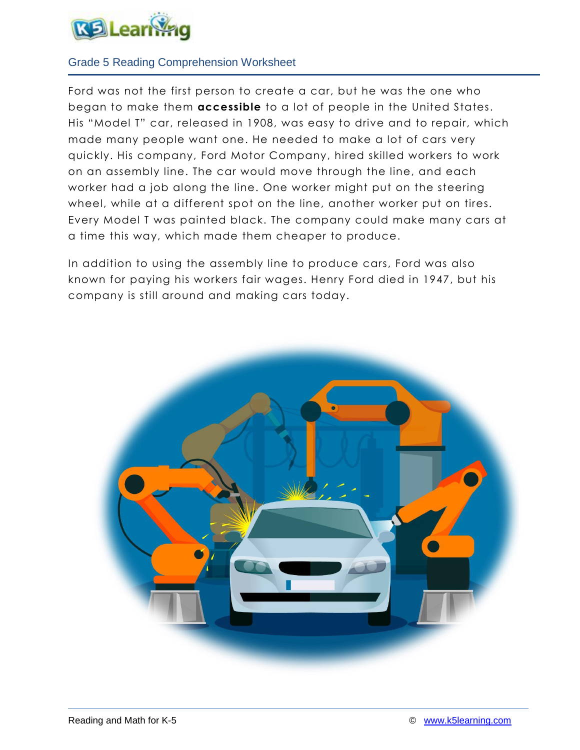

Ford was not the first person to create a car, but he was the one who began to make them **accessible** to a lot of people in the United States. His "Model T" car, released in 1908, was easy to drive and to repair, which made many people want one. He needed to make a lot of cars very quickly. His company, Ford Motor Company, hired skilled workers to work on an assembly line. The car would move through the line, and each worker had a job along the line. One worker might put on the steering wheel, while at a different spot on the line, another worker put on tires. Every Model T was painted black. The company could make many cars at a time this way, which made them cheaper to produce.

In addition to using the assembly line to produce cars, Ford was also known for paying his workers fair wages. Henry Ford died in 1947, but his company is still around and making cars today.

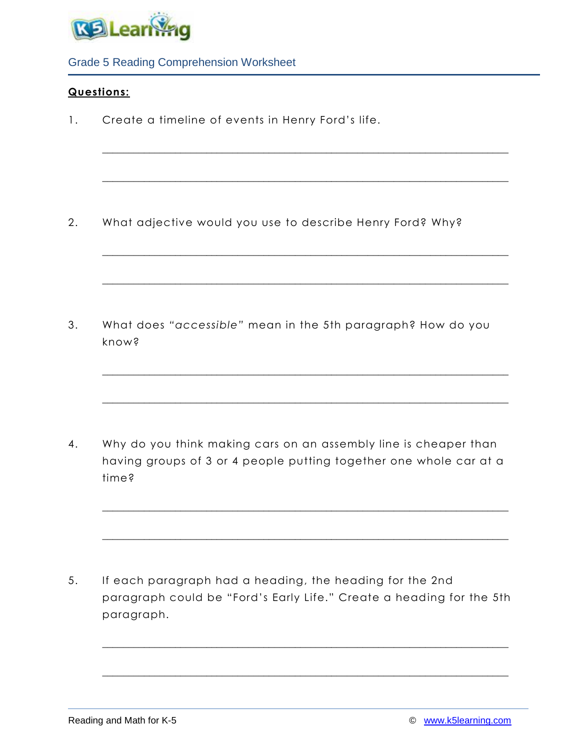

# **Questions:**

1. Create a timeline of events in Henry Ford's life.

2. What adjective would you use to describe Henry Ford? Why?

\_\_\_\_\_\_\_\_\_\_\_\_\_\_\_\_\_\_\_\_\_\_\_\_\_\_\_\_\_\_\_\_\_\_\_\_\_\_\_\_\_\_\_\_\_\_\_\_\_\_\_\_\_\_\_\_\_\_\_\_\_\_\_\_\_\_\_\_\_\_\_\_\_\_\_\_\_\_

\_\_\_\_\_\_\_\_\_\_\_\_\_\_\_\_\_\_\_\_\_\_\_\_\_\_\_\_\_\_\_\_\_\_\_\_\_\_\_\_\_\_\_\_\_\_\_\_\_\_\_\_\_\_\_\_\_\_\_\_\_\_\_\_\_\_\_\_\_\_\_\_\_\_\_\_\_\_

\_\_\_\_\_\_\_\_\_\_\_\_\_\_\_\_\_\_\_\_\_\_\_\_\_\_\_\_\_\_\_\_\_\_\_\_\_\_\_\_\_\_\_\_\_\_\_\_\_\_\_\_\_\_\_\_\_\_\_\_\_\_\_\_\_\_\_\_\_\_\_\_\_\_\_\_\_\_

\_\_\_\_\_\_\_\_\_\_\_\_\_\_\_\_\_\_\_\_\_\_\_\_\_\_\_\_\_\_\_\_\_\_\_\_\_\_\_\_\_\_\_\_\_\_\_\_\_\_\_\_\_\_\_\_\_\_\_\_\_\_\_\_\_\_\_\_\_\_\_\_\_\_\_\_\_\_

\_\_\_\_\_\_\_\_\_\_\_\_\_\_\_\_\_\_\_\_\_\_\_\_\_\_\_\_\_\_\_\_\_\_\_\_\_\_\_\_\_\_\_\_\_\_\_\_\_\_\_\_\_\_\_\_\_\_\_\_\_\_\_\_\_\_\_\_\_\_\_\_\_\_\_\_\_\_

\_\_\_\_\_\_\_\_\_\_\_\_\_\_\_\_\_\_\_\_\_\_\_\_\_\_\_\_\_\_\_\_\_\_\_\_\_\_\_\_\_\_\_\_\_\_\_\_\_\_\_\_\_\_\_\_\_\_\_\_\_\_\_\_\_\_\_\_\_\_\_\_\_\_\_\_\_\_

\_\_\_\_\_\_\_\_\_\_\_\_\_\_\_\_\_\_\_\_\_\_\_\_\_\_\_\_\_\_\_\_\_\_\_\_\_\_\_\_\_\_\_\_\_\_\_\_\_\_\_\_\_\_\_\_\_\_\_\_\_\_\_\_\_\_\_\_\_\_\_\_\_\_\_\_\_\_

\_\_\_\_\_\_\_\_\_\_\_\_\_\_\_\_\_\_\_\_\_\_\_\_\_\_\_\_\_\_\_\_\_\_\_\_\_\_\_\_\_\_\_\_\_\_\_\_\_\_\_\_\_\_\_\_\_\_\_\_\_\_\_\_\_\_\_\_\_\_\_\_\_\_\_\_\_\_

\_\_\_\_\_\_\_\_\_\_\_\_\_\_\_\_\_\_\_\_\_\_\_\_\_\_\_\_\_\_\_\_\_\_\_\_\_\_\_\_\_\_\_\_\_\_\_\_\_\_\_\_\_\_\_\_\_\_\_\_\_\_\_\_\_\_\_\_\_\_\_\_\_\_\_\_\_\_

\_\_\_\_\_\_\_\_\_\_\_\_\_\_\_\_\_\_\_\_\_\_\_\_\_\_\_\_\_\_\_\_\_\_\_\_\_\_\_\_\_\_\_\_\_\_\_\_\_\_\_\_\_\_\_\_\_\_\_\_\_\_\_\_\_\_\_\_\_\_\_\_\_\_\_\_\_\_

3. What does *"accessible"* mean in the 5th paragraph? How do you know?

4. Why do you think making cars on an assembly line is cheaper than having groups of 3 or 4 people putting together one whole car at a time?

5. If each paragraph had a heading, the heading for the 2nd paragraph could be "Ford's Early Life." Create a heading for the 5th paragraph.